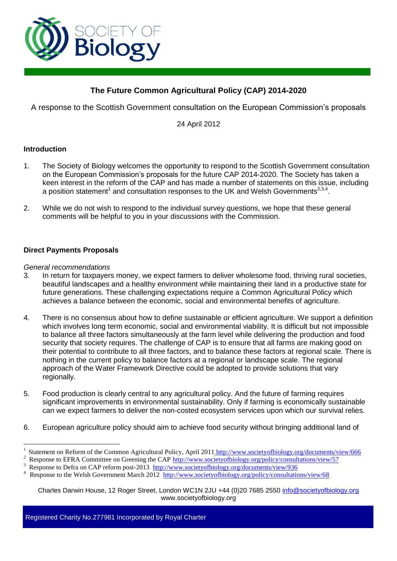

# **The Future Common Agricultural Policy (CAP) 2014-2020**

A response to the Scottish Government consultation on the European Commission's proposals

24 April 2012

### **Introduction**

- 1. The Society of Biology welcomes the opportunity to respond to the Scottish Government consultation on the European Commission's proposals for the future CAP 2014-2020. The Society has taken a keen interest in the reform of the CAP and has made a number of statements on this issue, including a position statement<sup>1</sup> and consultation responses to the UK and Welsh Governments<sup>2,3,4</sup>.
- 2. While we do not wish to respond to the individual survey questions, we hope that these general comments will be helpful to you in your discussions with the Commission.

### **Direct Payments Proposals**

#### *General recommendations*

 $\overline{a}$ 

- 3. In return for taxpayers money, we expect farmers to deliver wholesome food, thriving rural societies, beautiful landscapes and a healthy environment while maintaining their land in a productive state for future generations. These challenging expectations require a Common Agricultural Policy which achieves a balance between the economic, social and environmental benefits of agriculture.
- 4. There is no consensus about how to define sustainable or efficient agriculture. We support a definition which involves long term economic, social and environmental viability. It is difficult but not impossible to balance all three factors simultaneously at the farm level while delivering the production and food security that society requires. The challenge of CAP is to ensure that all farms are making good on their potential to contribute to all three factors, and to balance these factors at regional scale. There is nothing in the current policy to balance factors at a regional or landscape scale. The regional approach of the Water Framework Directive could be adopted to provide solutions that vary regionally.
- 5. Food production is clearly central to any agricultural policy. And the future of farming requires significant improvements in environmental sustainability. Only if farming is economically sustainable can we expect farmers to deliver the non-costed ecosystem services upon which our survival relies.
- 6. European agriculture policy should aim to achieve food security without bringing additional land of

Charles Darwin House, 12 Roger Street, London WC1N 2JU +44 (0)20 7685 2550 info@societyofbiology.org www.societyofbiology.org

Registered Charity No.277981 Incorporated by Royal Charter

<sup>1</sup> Statement on Reform of the Common Agricultural Policy, April 2011 <http://www.societyofbiology.org/documents/view/666>

<sup>2</sup> <sup>2</sup> Response to EFRA Committee on Greening the CAP  $\frac{http://www.societyofbiology.org/policy/consultations/view/57}{http://www.societyofbiology.org/policy/consultations/view/57}$ 

<sup>3</sup> Response to Defra on CAP reform post-2013 <http://www.societyofbiology.org/documents/view/936>

Response to the Welsh Government March 2012<http://www.societyofbiology.org/policy/consultations/view/68>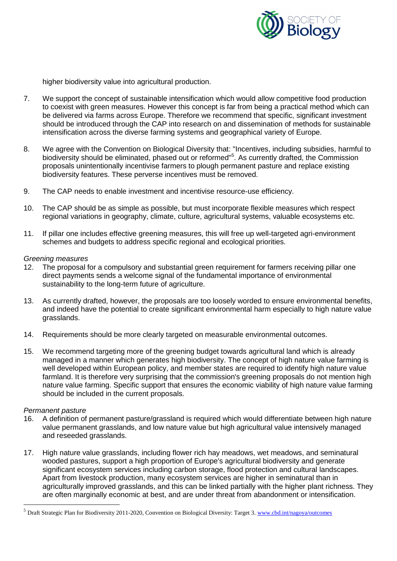

higher biodiversity value into agricultural production.

- 7. We support the concept of sustainable intensification which would allow competitive food production to coexist with green measures. However this concept is far from being a practical method which can be delivered via farms across Europe. Therefore we recommend that specific, significant investment should be introduced through the CAP into research on and dissemination of methods for sustainable intensification across the diverse farming systems and geographical variety of Europe.
- 8. We agree with the Convention on Biological Diversity that: "Incentives, including subsidies, harmful to biodiversity should be eliminated, phased out or reformed"<sup>5</sup>. As currently drafted, the Commission proposals unintentionally incentivise farmers to plough permanent pasture and replace existing biodiversity features. These perverse incentives must be removed.
- 9. The CAP needs to enable investment and incentivise resource-use efficiency.
- 10. The CAP should be as simple as possible, but must incorporate flexible measures which respect regional variations in geography, climate, culture, agricultural systems, valuable ecosystems etc.
- 11. If pillar one includes effective greening measures, this will free up well-targeted agri-environment schemes and budgets to address specific regional and ecological priorities.

#### *Greening measures*

- 12. The proposal for a compulsory and substantial green requirement for farmers receiving pillar one direct payments sends a welcome signal of the fundamental importance of environmental sustainability to the long-term future of agriculture.
- 13. As currently drafted, however, the proposals are too loosely worded to ensure environmental benefits, and indeed have the potential to create significant environmental harm especially to high nature value grasslands.
- 14. Requirements should be more clearly targeted on measurable environmental outcomes.
- 15. We recommend targeting more of the greening budget towards agricultural land which is already managed in a manner which generates high biodiversity. The concept of high nature value farming is well developed within European policy, and member states are required to identify high nature value farmland. It is therefore very surprising that the commission's greening proposals do not mention high nature value farming. Specific support that ensures the economic viability of high nature value farming should be included in the current proposals.

#### *Permanent pasture*

 $\overline{a}$ 

- 16. A definition of permanent pasture/grassland is required which would differentiate between high nature value permanent grasslands, and low nature value but high agricultural value intensively managed and reseeded grasslands.
- 17. High nature value grasslands, including flower rich hay meadows, wet meadows, and seminatural wooded pastures, support a high proportion of Europe's agricultural biodiversity and generate significant ecosystem services including carbon storage, flood protection and cultural landscapes. Apart from livestock production, many ecosystem services are higher in seminatural than in agriculturally improved grasslands, and this can be linked partially with the higher plant richness. They are often marginally economic at best, and are under threat from abandonment or intensification.

<sup>&</sup>lt;sup>5</sup> Draft Strategic Plan for Biodiversity 2011-2020, Convention on Biological Diversity: Target 3. [www.cbd.int/nagoya/outcomes](http://www.cbd.int/nagoya/outcomes)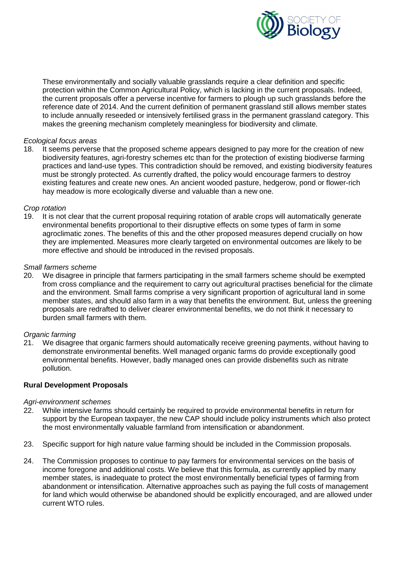

These environmentally and socially valuable grasslands require a clear definition and specific protection within the Common Agricultural Policy, which is lacking in the current proposals. Indeed, the current proposals offer a perverse incentive for farmers to plough up such grasslands before the reference date of 2014. And the current definition of permanent grassland still allows member states to include annually reseeded or intensively fertilised grass in the permanent grassland category. This makes the greening mechanism completely meaningless for biodiversity and climate.

### *Ecological focus areas*

18. It seems perverse that the proposed scheme appears designed to pay more for the creation of new biodiversity features, agri-forestry schemes etc than for the protection of existing biodiverse farming practices and land-use types. This contradiction should be removed, and existing biodiversity features must be strongly protected. As currently drafted, the policy would encourage farmers to destroy existing features and create new ones. An ancient wooded pasture, hedgerow, pond or flower-rich hay meadow is more ecologically diverse and valuable than a new one.

### *Crop rotation*

19. It is not clear that the current proposal requiring rotation of arable crops will automatically generate environmental benefits proportional to their disruptive effects on some types of farm in some agroclimatic zones. The benefits of this and the other proposed measures depend crucially on how they are implemented. Measures more clearly targeted on environmental outcomes are likely to be more effective and should be introduced in the revised proposals.

### *Small farmers scheme*

20. We disagree in principle that farmers participating in the small farmers scheme should be exempted from cross compliance and the requirement to carry out agricultural practises beneficial for the climate and the environment. Small farms comprise a very significant proportion of agricultural land in some member states, and should also farm in a way that benefits the environment. But, unless the greening proposals are redrafted to deliver clearer environmental benefits, we do not think it necessary to burden small farmers with them.

### *Organic farming*

21. We disagree that organic farmers should automatically receive greening payments, without having to demonstrate environmental benefits. Well managed organic farms do provide exceptionally good environmental benefits. However, badly managed ones can provide disbenefits such as nitrate pollution.

### **Rural Development Proposals**

#### *Agri-environment schemes*

- 22. While intensive farms should certainly be required to provide environmental benefits in return for support by the European taxpayer, the new CAP should include policy instruments which also protect the most environmentally valuable farmland from intensification or abandonment.
- 23. Specific support for high nature value farming should be included in the Commission proposals.
- 24. The Commission proposes to continue to pay farmers for environmental services on the basis of income foregone and additional costs. We believe that this formula, as currently applied by many member states, is inadequate to protect the most environmentally beneficial types of farming from abandonment or intensification. Alternative approaches such as paying the full costs of management for land which would otherwise be abandoned should be explicitly encouraged, and are allowed under current WTO rules.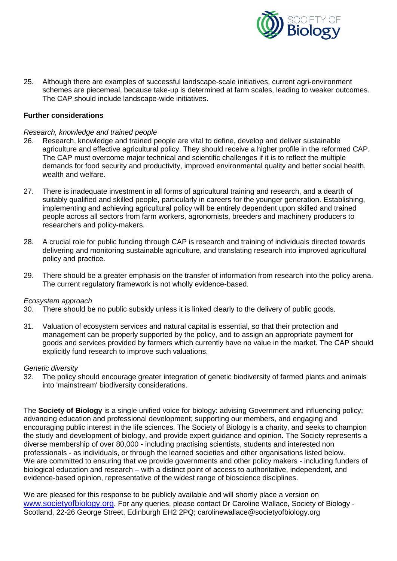

25. Although there are examples of successful landscape-scale initiatives, current agri-environment schemes are piecemeal, because take-up is determined at farm scales, leading to weaker outcomes. The CAP should include landscape-wide initiatives.

### **Further considerations**

#### *Research, knowledge and trained people*

- 26. Research, knowledge and trained people are vital to define, develop and deliver sustainable agriculture and effective agricultural policy. They should receive a higher profile in the reformed CAP. The CAP must overcome major technical and scientific challenges if it is to reflect the multiple demands for food security and productivity, improved environmental quality and better social health, wealth and welfare.
- 27. There is inadequate investment in all forms of agricultural training and research, and a dearth of suitably qualified and skilled people, particularly in careers for the younger generation. Establishing, implementing and achieving agricultural policy will be entirely dependent upon skilled and trained people across all sectors from farm workers, agronomists, breeders and machinery producers to researchers and policy-makers.
- 28. A crucial role for public funding through CAP is research and training of individuals directed towards delivering and monitoring sustainable agriculture, and translating research into improved agricultural policy and practice.
- 29. There should be a greater emphasis on the transfer of information from research into the policy arena. The current regulatory framework is not wholly evidence-based.

#### *Ecosystem approach*

- 30. There should be no public subsidy unless it is linked clearly to the delivery of public goods.
- 31. Valuation of ecosystem services and natural capital is essential, so that their protection and management can be properly supported by the policy, and to assign an appropriate payment for goods and services provided by farmers which currently have no value in the market. The CAP should explicitly fund research to improve such valuations.

#### *Genetic diversity*

32. The policy should encourage greater integration of genetic biodiversity of farmed plants and animals into 'mainstream' biodiversity considerations.

The **Society of Biology** is a single unified voice for biology: advising Government and influencing policy; advancing education and professional development; supporting our members, and engaging and encouraging public interest in the life sciences. The Society of Biology is a charity, and seeks to champion the study and development of biology, and provide expert guidance and opinion. The Society represents a diverse membership of over 80,000 - including practising scientists, students and interested non professionals - as individuals, or through the learned societies and other organisations listed below. We are committed to ensuring that we provide governments and other policy makers - including funders of biological education and research – with a distinct point of access to authoritative, independent, and evidence-based opinion, representative of the widest range of bioscience disciplines.

We are pleased for this response to be publicly available and will shortly place a version on [www.societyofbiology.org](http://www.societyofbiology.org/). For any queries, please contact Dr Caroline Wallace, Society of Biology - Scotland, 22-26 George Street, Edinburgh EH2 2PQ; carolinewallace@societyofbiology.org